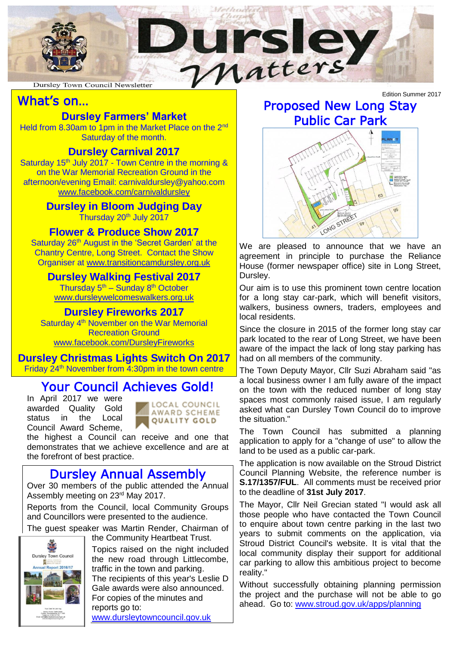

## What's on…

## **Dursley Farmers' Market**

Held from 8.30am to 1pm in the Market Place on the 2<sup>nd</sup> Saturday of the month.

#### **Dursley Carnival 2017**

Saturday 15<sup>th</sup> July 2017 - Town Centre in the morning & on the War Memorial Recreation Ground in the afternoon/evening Email: carnivaldursley@yahoo.com [www.facebook.com/carnivaldursley](http://www.facebook.com/carnivaldursley)

> **Dursley in Bloom Judging Day** Thursday 20<sup>th</sup> July 2017

#### **Flower & Produce Show 2017**

Saturday 26<sup>th</sup> August in the 'Secret Garden' at the Chantry Centre, Long Street. Contact the Show Organiser at [www.transitioncamdursley.org.uk](http://www.transitioncamdursley.org.uk/)

#### **Dursley Walking Festival 2017**

Thursday 5<sup>th</sup> – Sunday 8<sup>th</sup> October [www.dursleywelcomeswalkers.org.uk](http://www.dursleywelcomeswalkers.org.uk/)

#### **Dursley Fireworks 2017**

Saturday 4<sup>th</sup> November on the War Memorial Recreation Ground [www.facebook.com/DursleyFireworks](http://www.facebook.com/DursleyFireworks)

**Dursley Christmas Lights Switch On 2017** Friday  $24<sup>th</sup>$  November from  $\overline{4:}30$ pm in the town centre

# Your Council Achieves Gold!

In April 2017 we were awarded Quality Gold status in the Local Council Award Scheme,



the highest a Council can receive and one that demonstrates that we achieve excellence and are at the forefront of best practice.

## Dursley Annual Assembly

Over 30 members of the public attended the Annual Assembly meeting on 23rd May 2017.

Reports from the Council, local Community Groups and Councillors were presented to the audience.

The guest speaker was Martin Render, Chairman of



the Community Heartbeat Trust.

Topics raised on the night included the new road through Littlecombe, traffic in the town and parking. The recipients of this year's Leslie D Gale awards were also announced. For copies of the minutes and reports go to:

[www.dursleytowncouncil.gov.uk](http://www.dursleytowncouncil.gov.uk/)

# Proposed New Long Stay Public Car Park



We are pleased to announce that we have an agreement in principle to purchase the Reliance House (former newspaper office) site in Long Street, Dursley.

Our aim is to use this prominent town centre location for a long stay car-park, which will benefit visitors, walkers, business owners, traders, employees and local residents.

Since the closure in 2015 of the former long stay car park located to the rear of Long Street, we have been aware of the impact the lack of long stay parking has had on all members of the community.

The Town Deputy Mayor, Cllr Suzi Abraham said "as a local business owner I am fully aware of the impact on the town with the reduced number of long stay spaces most commonly raised issue, I am regularly asked what can Dursley Town Council do to improve the situation."

The Town Council has submitted a planning application to apply for a "change of use" to allow the land to be used as a public car-park.

The application is now available on the Stroud District Council Planning Website, the reference number is **S.17/1357/FUL**. All comments must be received prior to the deadline of **31st July 2017**.

The Mayor, Cllr Neil Grecian stated "I would ask all those people who have contacted the Town Council to enquire about town centre parking in the last two years to submit comments on the application, via Stroud District Council's website. It is vital that the local community display their support for additional car parking to allow this ambitious project to become reality."

Without successfully obtaining planning permission the project and the purchase will not be able to go ahead. Go to: [www.stroud.gov.uk/apps/planning](http://www.stroud.gov.uk/apps/planning)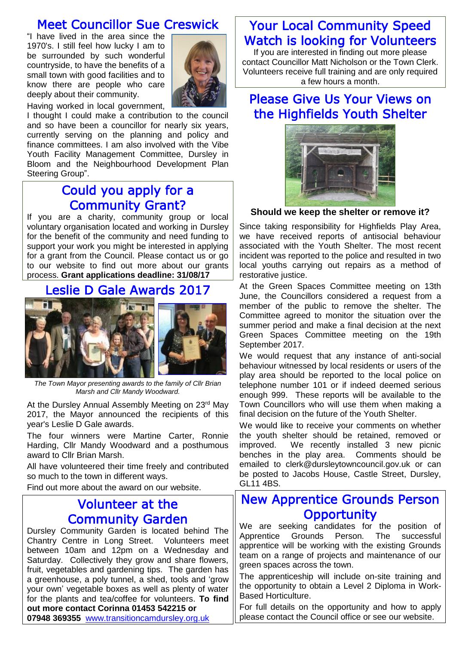## Meet Councillor Sue Creswick

"I have lived in the area since the 1970's. I still feel how lucky I am to be surrounded by such wonderful countryside, to have the benefits of a small town with good facilities and to know there are people who care deeply about their community.



Having worked in local government,

I thought I could make a contribution to the council and so have been a councillor for nearly six years, currently serving on the planning and policy and finance committees. I am also involved with the Vibe Youth Facility Management Committee, Dursley in Bloom and the Neighbourhood Development Plan Steering Group".

## Could you apply for a Community Grant?

If you are a charity, community group or local voluntary organisation located and working in Dursley for the benefit of the community and need funding to support your work you might be interested in applying for a grant from the Council. Please contact us or go to our website to find out more about our grants process. **Grant applications deadline: 31/08/17**

## Leslie D Gale Awards 2017



*The Town Mayor presenting awards to the family of Cllr Brian Marsh and Cllr Mandy Woodward.*

At the Dursley Annual Assembly Meeting on 23<sup>rd</sup> May 2017, the Mayor announced the recipients of this year's Leslie D Gale awards.

The four winners were Martine Carter, Ronnie Harding, Cllr Mandy Woodward and a posthumous award to Cllr Brian Marsh.

All have volunteered their time freely and contributed so much to the town in different ways.

Find out more about the award on our website.

#### Volunteer at the Community Garden

Dursley Community Garden is located behind The Chantry Centre in Long Street. Volunteers meet between 10am and 12pm on a Wednesday and Saturday. Collectively they grow and share flowers, fruit, vegetables and gardening tips. The garden has a greenhouse, a poly tunnel, a shed, tools and 'grow your own' vegetable boxes as well as plenty of water for the plants and tea/coffee for volunteers. **To find out more contact Corinna 01453 542215 or 07948 369355** [www.transitioncamdursley.org.uk](http://www.transitioncamdursley.org.uk/)

#### Your Local Community Speed Watch is looking for Volunteers

If you are interested in finding out more please contact Councillor Matt Nicholson or the Town Clerk. Volunteers receive full training and are only required a few hours a month.

## Please Give Us Your Views on the Highfields Youth Shelter



#### **Should we keep the shelter or remove it?**

Since taking responsibility for Highfields Play Area, we have received reports of antisocial behaviour associated with the Youth Shelter. The most recent incident was reported to the police and resulted in two local youths carrying out repairs as a method of restorative justice.

At the Green Spaces Committee meeting on 13th June, the Councillors considered a request from a member of the public to remove the shelter. The Committee agreed to monitor the situation over the summer period and make a final decision at the next Green Spaces Committee meeting on the 19th September 2017.

We would request that any instance of anti-social behaviour witnessed by local residents or users of the play area should be reported to the local police on telephone number 101 or if indeed deemed serious enough 999. These reports will be available to the Town Councillors who will use them when making a final decision on the future of the Youth Shelter.

We would like to receive your comments on whether the youth shelter should be retained, removed or improved. We recently installed 3 new picnic benches in the play area. Comments should be emailed to clerk@dursleytowncouncil.gov.uk or can be posted to Jacobs House, Castle Street, Dursley, GL11 4BS.

#### New Apprentice Grounds Person **Opportunity**

We are seeking candidates for the position of Apprentice Grounds Person. The successful apprentice will be working with the existing Grounds team on a range of projects and maintenance of our green spaces across the town.

The apprenticeship will include on-site training and the opportunity to obtain a Level 2 Diploma in Work-Based Horticulture.

For full details on the opportunity and how to apply please contact the Council office or see our website.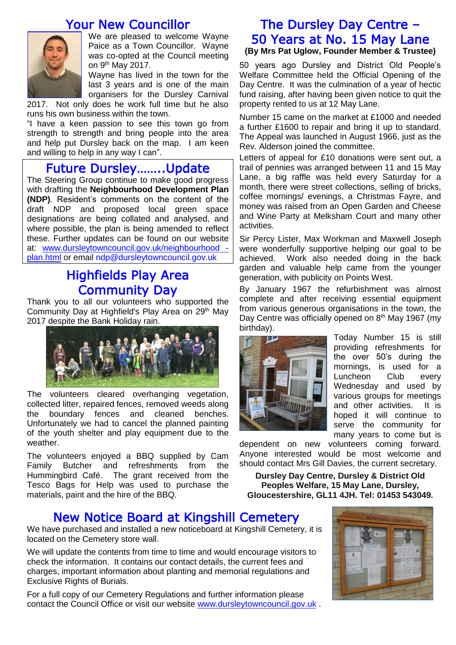#### Your New Councillor



We are pleased to welcome Wayne Paice as a Town Councillor. Wayne was co-opted at the Council meeting on 9<sup>th</sup> May 2017.

Wayne has lived in the town for the last 3 years and is one of the main organisers for the Dursley Carnival

2017. Not only does he work full time but he also runs his own business within the town.

"I have a keen passion to see this town go from strength to strength and bring people into the area and help put Dursley back on the map. I am keen and willing to help in any way I can".

## Future Dursley……..Update

The Steering Group continue to make good progress with drafting the **Neighbourhood Development Plan (NDP)**. Resident's comments on the content of the draft NDP and proposed local green space designations are being collated and analysed, and where possible, the plan is being amended to reflect these. Further updates can be found on our website at: [www.dursleytowncouncil.gov.uk/neighbourhood](http://www.dursleytowncouncil.gov.uk/neighbourhood%20-plan.html)  [plan.html](http://www.dursleytowncouncil.gov.uk/neighbourhood%20-plan.html) or email [ndp@dursleytowncouncil.gov.uk](mailto:ndp@dursleytowncouncil.gov.uk)

## Highfields Play Area Community Day

Thank you to all our volunteers who supported the Community Day at Highfield's Play Area on 29<sup>th</sup> May 2017 despite the Bank Holiday rain.



The volunteers cleared overhanging vegetation, collected litter, repaired fences, removed weeds along the boundary fences and cleaned benches. Unfortunately we had to cancel the planned painting of the youth shelter and play equipment due to the weather.

The volunteers enjoyed a BBQ supplied by Cam Family Butcher and refreshments from the Hummingbird Café. The grant received from the Tesco Bags for Help was used to purchase the materials, paint and the hire of the BBQ.

#### The Dursley Day Centre – 50 Years at No. 15 May Lane **(By Mrs Pat Uglow, Founder Member & Trustee)**

50 years ago Dursley and District Old People's Welfare Committee held the Official Opening of the Day Centre. It was the culmination of a year of hectic fund raising, after having been given notice to quit the property rented to us at 12 May Lane.

Number 15 came on the market at £1000 and needed a further £1600 to repair and bring it up to standard. The Appeal was launched in August 1966, just as the Rev. Alderson joined the committee.

Letters of appeal for £10 donations were sent out, a trail of pennies was arranged between 11 and 15 May Lane, a big raffle was held every Saturday for a month, there were street collections, selling of bricks, coffee mornings/ evenings, a Christmas Fayre, and money was raised from an Open Garden and Cheese and Wine Party at Melksham Court and many other activities.

Sir Percy Lister, Max Workman and Maxwell Joseph were wonderfully supportive helping our goal to be achieved. Work also needed doing in the back garden and valuable help came from the younger generation, with publicity on Points West.

By January 1967 the refurbishment was almost complete and after receiving essential equipment from various generous organisations in the town, the Day Centre was officially opened on  $8<sup>th</sup>$  May 1967 (my birthday).



Today Number 15 is still providing refreshments for the over 50's during the mornings, is used for a Luncheon Club every Wednesday and used by various groups for meetings and other activities. It is hoped it will continue to serve the community for many years to come but is

dependent on new volunteers coming forward. Anyone interested would be most welcome and should contact Mrs Gill Davies, the current secretary.

**Dursley Day Centre, Dursley & District Old Peoples Welfare, 15 May Lane, Dursley, Gloucestershire, GL11 4JH. Tel: 01453 543049.**

## New Notice Board at Kingshill Cemetery

We have purchased and installed a new noticeboard at Kingshill Cemetery, it is located on the Cemetery store wall.

We will update the contents from time to time and would encourage visitors to check the information. It contains our contact details, the current fees and charges, important information about planting and memorial regulations and Exclusive Rights of Burials.

For a full copy of our Cemetery Regulations and further information please contact the Council Office or visit our website [www.dursleytowncouncil.gov.uk](http://www.dursleytowncouncil.gov.uk/) .